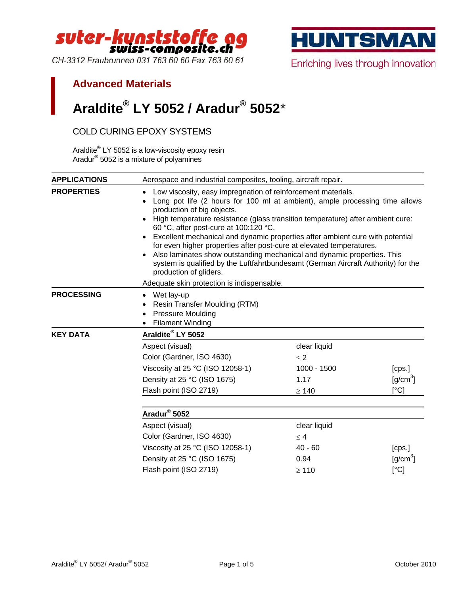

CH-3312 Fraubrunnen 031 763 60 60 Fax 763 60 61



Enriching lives through innovation

## **Advanced Materials**

## **Araldite® LY 5052 / Aradur® 5052**[\\*](#page-0-0)

## COLD CURING EPOXY SYSTEMS

Araldite**®** LY 5052 is a low-viscosity epoxy resin Aradur**®** 5052 is a mixture of polyamines

<span id="page-0-0"></span>

| <b>APPLICATIONS</b> | Aerospace and industrial composites, tooling, aircraft repair.                                                                                                                                                                                                                                                                                                                                                                                                                                                                                                                                                                                                         |                          |              |  |  |
|---------------------|------------------------------------------------------------------------------------------------------------------------------------------------------------------------------------------------------------------------------------------------------------------------------------------------------------------------------------------------------------------------------------------------------------------------------------------------------------------------------------------------------------------------------------------------------------------------------------------------------------------------------------------------------------------------|--------------------------|--------------|--|--|
| <b>PROPERTIES</b>   | Low viscosity, easy impregnation of reinforcement materials.<br>$\bullet$<br>Long pot life (2 hours for 100 ml at ambient), ample processing time allows<br>production of big objects.<br>• High temperature resistance (glass transition temperature) after ambient cure:<br>60 °C, after post-cure at 100:120 °C.<br>Excellent mechanical and dynamic properties after ambient cure with potential<br>for even higher properties after post-cure at elevated temperatures.<br>Also laminates show outstanding mechanical and dynamic properties. This<br>system is qualified by the Luftfahrtbundesamt (German Aircraft Authority) for the<br>production of gliders. |                          |              |  |  |
| <b>PROCESSING</b>   | Adequate skin protection is indispensable.<br>Wet lay-up<br>Resin Transfer Moulding (RTM)<br><b>Pressure Moulding</b><br><b>Filament Winding</b>                                                                                                                                                                                                                                                                                                                                                                                                                                                                                                                       |                          |              |  |  |
| <b>KEY DATA</b>     | Araldite® LY 5052                                                                                                                                                                                                                                                                                                                                                                                                                                                                                                                                                                                                                                                      |                          |              |  |  |
|                     | Aspect (visual)<br>Color (Gardner, ISO 4630)                                                                                                                                                                                                                                                                                                                                                                                                                                                                                                                                                                                                                           | clear liquid<br>$\leq$ 2 |              |  |  |
|                     | Viscosity at 25 °C (ISO 12058-1)                                                                                                                                                                                                                                                                                                                                                                                                                                                                                                                                                                                                                                       | 1000 - 1500              | [cps.]       |  |  |
|                     | Density at 25 °C (ISO 1675)                                                                                                                                                                                                                                                                                                                                                                                                                                                                                                                                                                                                                                            | 1.17                     | $[g/cm^3]$   |  |  |
|                     | Flash point (ISO 2719)                                                                                                                                                                                                                                                                                                                                                                                                                                                                                                                                                                                                                                                 | $\geq 140$               | $\lceil$ °C] |  |  |
|                     | Aradur <sup>®</sup> 5052                                                                                                                                                                                                                                                                                                                                                                                                                                                                                                                                                                                                                                               |                          |              |  |  |
|                     | Aspect (visual)                                                                                                                                                                                                                                                                                                                                                                                                                                                                                                                                                                                                                                                        | clear liquid             |              |  |  |
|                     | Color (Gardner, ISO 4630)                                                                                                                                                                                                                                                                                                                                                                                                                                                                                                                                                                                                                                              | $\leq 4$                 |              |  |  |
|                     | Viscosity at 25 °C (ISO 12058-1)                                                                                                                                                                                                                                                                                                                                                                                                                                                                                                                                                                                                                                       | $40 - 60$                | [cps.]       |  |  |
|                     | Density at 25 °C (ISO 1675)                                                                                                                                                                                                                                                                                                                                                                                                                                                                                                                                                                                                                                            | 0.94                     | $[g/cm^3]$   |  |  |
|                     | Flash point (ISO 2719)                                                                                                                                                                                                                                                                                                                                                                                                                                                                                                                                                                                                                                                 | $\geq 110$               | $\lceil$ °C] |  |  |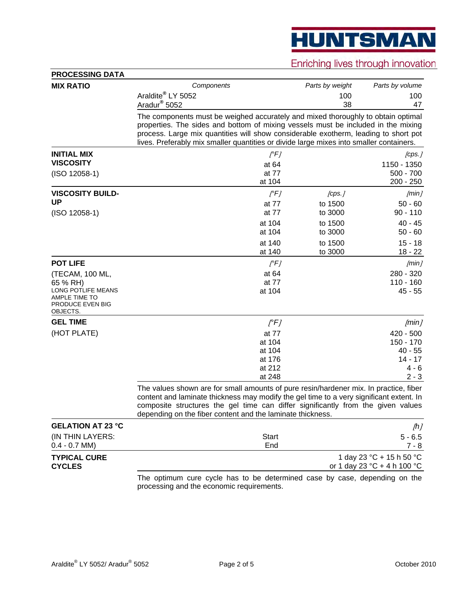**HUNTSMAN** 

Enriching lives through innovation

| <b>MIX RATIO</b>                                                                       | Components                                                                                                                                                                                                                                                                                                                                              | Parts by weight   | Parts by volume                                         |  |  |
|----------------------------------------------------------------------------------------|---------------------------------------------------------------------------------------------------------------------------------------------------------------------------------------------------------------------------------------------------------------------------------------------------------------------------------------------------------|-------------------|---------------------------------------------------------|--|--|
|                                                                                        | Araldite <sup>®</sup> LY 5052                                                                                                                                                                                                                                                                                                                           | 100               | 100                                                     |  |  |
|                                                                                        | Aradur <sup>®</sup> 5052                                                                                                                                                                                                                                                                                                                                | 38                | 47                                                      |  |  |
|                                                                                        | The components must be weighed accurately and mixed thoroughly to obtain optimal<br>properties. The sides and bottom of mixing vessels must be included in the mixing<br>process. Large mix quantities will show considerable exotherm, leading to short pot<br>lives. Preferably mix smaller quantities or divide large mixes into smaller containers. |                   |                                                         |  |  |
| <b>INITIAL MIX</b>                                                                     | $[$ <sup>°F]</sup>                                                                                                                                                                                                                                                                                                                                      |                   | [cps.]                                                  |  |  |
| <b>VISCOSITY</b>                                                                       | at 64                                                                                                                                                                                                                                                                                                                                                   |                   | 1150 - 1350                                             |  |  |
| $(ISO 12058-1)$                                                                        | at 77<br>at 104                                                                                                                                                                                                                                                                                                                                         |                   | $500 - 700$<br>$200 - 250$                              |  |  |
| <b>VISCOSITY BUILD-</b>                                                                |                                                                                                                                                                                                                                                                                                                                                         |                   |                                                         |  |  |
| <b>UP</b>                                                                              | $[$ °FJ<br>at 77                                                                                                                                                                                                                                                                                                                                        | [cps.]<br>to 1500 | [min]<br>$50 - 60$                                      |  |  |
| $(ISO 12058-1)$                                                                        | at 77                                                                                                                                                                                                                                                                                                                                                   | to 3000           | $90 - 110$                                              |  |  |
|                                                                                        | at 104                                                                                                                                                                                                                                                                                                                                                  | to 1500           | $40 - 45$                                               |  |  |
|                                                                                        | at 104                                                                                                                                                                                                                                                                                                                                                  | to 3000           | $50 - 60$                                               |  |  |
|                                                                                        | at 140                                                                                                                                                                                                                                                                                                                                                  | to 1500           | $15 - 18$                                               |  |  |
|                                                                                        | at 140                                                                                                                                                                                                                                                                                                                                                  | to 3000           | $18 - 22$                                               |  |  |
| <b>POT LIFE</b>                                                                        | $[$ °F]                                                                                                                                                                                                                                                                                                                                                 |                   | [min]                                                   |  |  |
| (TECAM, 100 ML,                                                                        | at 64                                                                                                                                                                                                                                                                                                                                                   |                   | 280 - 320                                               |  |  |
| 65 % RH)<br>LONG POTLIFE MEANS<br><b>AMPLE TIME TO</b><br>PRODUCE EVEN BIG<br>OBJECTS. | at 77<br>at 104                                                                                                                                                                                                                                                                                                                                         |                   | $110 - 160$<br>$45 - 55$                                |  |  |
| <b>GEL TIME</b>                                                                        | $[$ <sup>°F]</sup>                                                                                                                                                                                                                                                                                                                                      |                   | [min]                                                   |  |  |
| (HOT PLATE)                                                                            | at 77                                                                                                                                                                                                                                                                                                                                                   |                   | $420 - 500$                                             |  |  |
|                                                                                        | at 104                                                                                                                                                                                                                                                                                                                                                  |                   | 150 - 170                                               |  |  |
|                                                                                        | at 104<br>at 176                                                                                                                                                                                                                                                                                                                                        |                   | $40 - 55$<br>$14 - 17$                                  |  |  |
|                                                                                        | at 212                                                                                                                                                                                                                                                                                                                                                  |                   | $4 - 6$                                                 |  |  |
|                                                                                        | at 248                                                                                                                                                                                                                                                                                                                                                  |                   | $2 - 3$                                                 |  |  |
|                                                                                        | The values shown are for small amounts of pure resin/hardener mix. In practice, fiber<br>content and laminate thickness may modify the gel time to a very significant extent. In<br>composite structures the gel time can differ significantly from the given values<br>depending on the fiber content and the laminate thickness.                      |                   |                                                         |  |  |
| <b>GELATION AT 23 °C</b>                                                               |                                                                                                                                                                                                                                                                                                                                                         |                   | [h]                                                     |  |  |
| (IN THIN LAYERS:                                                                       | <b>Start</b>                                                                                                                                                                                                                                                                                                                                            |                   | $5 - 6.5$                                               |  |  |
| $0.4 - 0.7$ MM)                                                                        | End                                                                                                                                                                                                                                                                                                                                                     |                   | $7 - 8$                                                 |  |  |
| <b>TYPICAL CURE</b><br><b>CYCLES</b>                                                   |                                                                                                                                                                                                                                                                                                                                                         |                   | 1 day 23 °C + 15 h 50 °C<br>or 1 day 23 °C + 4 h 100 °C |  |  |
|                                                                                        | The optimum cure cycle has to be determined case by case, depending on the<br>processing and the economic requirements.                                                                                                                                                                                                                                 |                   |                                                         |  |  |

 $\overline{a}$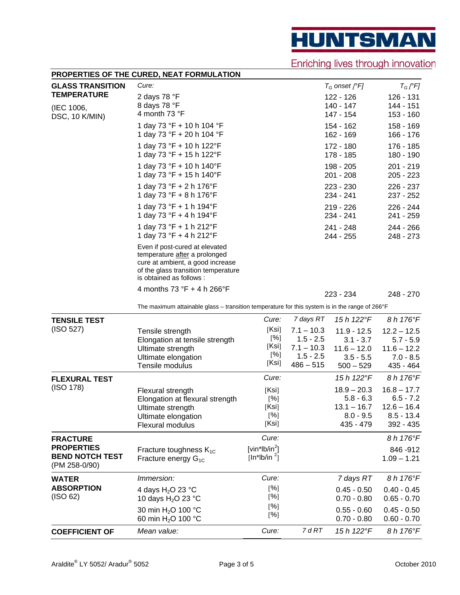**HUNTSMAN** 

Enriching lives through innovation

|                                                                                 | PROPERTIES OF THE CURED, NEAT FORMULATION                                                                                                                              |                                                |                                                                                        |                                                                                           |                                                                                        |
|---------------------------------------------------------------------------------|------------------------------------------------------------------------------------------------------------------------------------------------------------------------|------------------------------------------------|----------------------------------------------------------------------------------------|-------------------------------------------------------------------------------------------|----------------------------------------------------------------------------------------|
| <b>GLASS TRANSITION</b>                                                         | Cure:                                                                                                                                                                  |                                                |                                                                                        | $T_G$ onset [ $\epsilon$ F]                                                               | $T_G$ [ $\degree$ F]                                                                   |
| <b>TEMPERATURE</b><br>(IEC 1006,                                                | 2 days 78 °F<br>8 days 78 °F<br>4 month 73 °F                                                                                                                          |                                                |                                                                                        | 122 - 126<br>140 - 147<br>147 - 154                                                       | 126 - 131<br>144 - 151<br>153 - 160                                                    |
| DSC, 10 K/MIN)                                                                  | 1 day 73 °F + 10 h 104 °F<br>1 day 73 °F + 20 h 104 °F                                                                                                                 |                                                |                                                                                        | 154 - 162<br>162 - 169                                                                    | 158 - 169<br>166 - 176                                                                 |
|                                                                                 | 1 day 73 °F + 10 h 122°F<br>1 day 73 °F + 15 h 122°F                                                                                                                   |                                                |                                                                                        | $172 - 180$<br>178 - 185                                                                  | 176 - 185<br>180 - 190                                                                 |
|                                                                                 | 1 day 73 °F + 10 h 140°F<br>1 day 73 °F + 15 h 140°F                                                                                                                   |                                                |                                                                                        | 198 - 205<br>201 - 208                                                                    | $201 - 219$<br>$205 - 223$                                                             |
|                                                                                 | 1 day 73 °F + 2 h 176°F<br>1 day 73 °F + 8 h 176°F                                                                                                                     |                                                |                                                                                        | 223 - 230<br>234 - 241                                                                    | 226 - 237<br>237 - 252                                                                 |
|                                                                                 | 1 day 73 °F + 1 h 194 °F<br>1 day 73 °F + 4 h 194°F                                                                                                                    |                                                |                                                                                        | $219 - 226$<br>234 - 241                                                                  | 226 - 244<br>241 - 259                                                                 |
|                                                                                 | 1 day 73 °F + 1 h 212°F<br>1 day 73 °F + 4 h 212°F                                                                                                                     |                                                |                                                                                        | 241 - 248<br>244 - 255                                                                    | $244 - 266$<br>248 - 273                                                               |
|                                                                                 | Even if post-cured at elevated<br>temperature after a prolonged<br>cure at ambient, a good increase<br>of the glass transition temperature<br>is obtained as follows : |                                                |                                                                                        |                                                                                           |                                                                                        |
|                                                                                 | 4 months 73 °F + 4 h 266°F                                                                                                                                             |                                                |                                                                                        | 223 - 234                                                                                 | 248 - 270                                                                              |
|                                                                                 | The maximum attainable glass - transition temperature for this system is in the range of 266°F                                                                         |                                                |                                                                                        |                                                                                           |                                                                                        |
| <b>TENSILE TEST</b><br>(ISO 527)                                                | Tensile strength<br>Elongation at tensile strength<br>Ultimate strength<br>Ultimate elongation<br>Tensile modulus                                                      | Cure:<br>[Ksi]<br>[%]<br>[Ksi]<br>[%]<br>[Ksi] | 7 days RT<br>$7.1 - 10.3$<br>$1.5 - 2.5$<br>$7.1 - 10.3$<br>$1.5 - 2.5$<br>$486 - 515$ | 15 h 122°F<br>$11.9 - 12.5$<br>$3.1 - 3.7$<br>$11.6 - 12.0$<br>$3.5 - 5.5$<br>$500 - 529$ | 8 h 176°F<br>$12.2 - 12.5$<br>$5.7 - 5.9$<br>$11.6 - 12.2$<br>$7.0 - 8.5$<br>435 - 464 |
| <b>FLEXURAL TEST</b>                                                            |                                                                                                                                                                        | Cure:                                          |                                                                                        | 15 h 122°F                                                                                | 8 h 176°F                                                                              |
| (ISO 178)                                                                       | Flexural strength<br>Elongation at flexural strength<br>Ultimate strength<br>Ultimate elongation<br>Flexural modulus                                                   | [Ksi]<br>[%]<br>[Ksi]<br>[%]<br>[Ksi]          |                                                                                        | $18.9 - 20.3$<br>$5.8 - 6.3$<br>$13.1 - 16.7$<br>$8.0 - 9.5$<br>435 - 479                 | $16.8 - 17.7$<br>$6.5 - 7.2$<br>$12.6 - 16.4$<br>$8.5 - 13.4$<br>392 - 435             |
| <b>FRACTURE</b><br><b>PROPERTIES</b><br><b>BEND NOTCH TEST</b><br>(PM 258-0/90) | Fracture toughness $K_{1C}$<br>Fracture energy $G_{1C}$                                                                                                                | Cure:<br>[vin*lb/in $^2$ ]<br>[ $ln*lb/in2$ ]  |                                                                                        |                                                                                           | 8 h 176°F<br>846-912<br>$1.09 - 1.21$                                                  |
| <b>WATER</b><br><b>ABSORPTION</b><br>(ISO 62)                                   | <i>Immersion:</i>                                                                                                                                                      | Cure:                                          |                                                                                        | 7 days RT                                                                                 | 8 h 176°F                                                                              |
|                                                                                 | 4 days H <sub>2</sub> O 23 °C<br>10 days H <sub>2</sub> O 23 °C                                                                                                        | [%]<br>[%]                                     |                                                                                        | $0.45 - 0.50$<br>$0.70 - 0.80$                                                            | $0.40 - 0.45$<br>$0.65 - 0.70$                                                         |
|                                                                                 | 30 min H <sub>2</sub> O 100 °C<br>60 min H <sub>2</sub> O 100 °C                                                                                                       | [%]<br>[%]                                     |                                                                                        | $0.55 - 0.60$<br>$0.70 - 0.80$                                                            | $0.45 - 0.50$<br>$0.60 - 0.70$                                                         |
| <b>COEFFICIENT OF</b>                                                           | Mean value:                                                                                                                                                            | Cure:                                          | 7 d RT                                                                                 | 15 h 122°F                                                                                | 8 h 176°F                                                                              |

 $\overline{a}$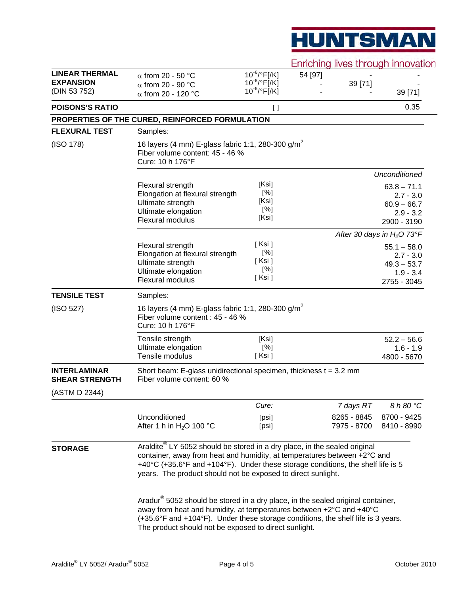# **HUNTSMAN**

Enriching lives through innovation

|                                                           |                                                                                                                                                                                                                                                                                                                 |                                                             |         |                            | ETTICITIIQ IIVES LITOUGH INTOVALIC                                          |  |
|-----------------------------------------------------------|-----------------------------------------------------------------------------------------------------------------------------------------------------------------------------------------------------------------------------------------------------------------------------------------------------------------|-------------------------------------------------------------|---------|----------------------------|-----------------------------------------------------------------------------|--|
| <b>LINEAR THERMAL</b><br><b>EXPANSION</b><br>(DIN 53 752) | $\alpha$ from 20 - 50 °C<br>$\alpha$ from 20 - 90 °C<br>$\alpha$ from 20 - 120 °C                                                                                                                                                                                                                               | $10^{-6}$ /°F[/K]<br>$10^{-6}$ /°F[/K]<br>$10^{-6}$ /°F[/K] | 54 [97] | 39 [71]                    | 39 [71]                                                                     |  |
| <b>POISONS'S RATIO</b>                                    |                                                                                                                                                                                                                                                                                                                 | $[ \ ]$                                                     |         |                            | 0.35                                                                        |  |
|                                                           | PROPERTIES OF THE CURED, REINFORCED FORMULATION                                                                                                                                                                                                                                                                 |                                                             |         |                            |                                                                             |  |
| <b>FLEXURAL TEST</b>                                      | Samples:                                                                                                                                                                                                                                                                                                        |                                                             |         |                            |                                                                             |  |
| (ISO 178)                                                 | 16 layers (4 mm) E-glass fabric 1:1, 280-300 g/m <sup>2</sup><br>Fiber volume content: 45 - 46 %<br>Cure: 10 h 176°F                                                                                                                                                                                            |                                                             |         |                            |                                                                             |  |
|                                                           |                                                                                                                                                                                                                                                                                                                 |                                                             |         |                            | <b>Unconditioned</b>                                                        |  |
|                                                           | Flexural strength<br>Elongation at flexural strength<br>Ultimate strength<br>Ultimate elongation<br>Flexural modulus                                                                                                                                                                                            | [Ksi]<br>[%]<br>[Ksi]<br>[%]<br>[Ksi]                       |         |                            | $63.8 - 71.1$<br>$2.7 - 3.0$<br>$60.9 - 66.7$<br>$2.9 - 3.2$<br>2900 - 3190 |  |
|                                                           |                                                                                                                                                                                                                                                                                                                 |                                                             |         |                            | After 30 days in $H_2O$ 73°F                                                |  |
|                                                           | Flexural strength<br>Elongation at flexural strength<br>Ultimate strength<br>Ultimate elongation<br><b>Flexural modulus</b>                                                                                                                                                                                     | [ Ksi ]<br>[%]<br>[ Ksi ]<br>[%]<br>[Ksi]                   |         |                            | $55.1 - 58.0$<br>$2.7 - 3.0$<br>$49.3 - 53.7$<br>$1.9 - 3.4$<br>2755 - 3045 |  |
| <b>TENSILE TEST</b>                                       | Samples:                                                                                                                                                                                                                                                                                                        |                                                             |         |                            |                                                                             |  |
| (ISO 527)                                                 | 16 layers (4 mm) E-glass fabric 1:1, 280-300 g/m <sup>2</sup><br>Fiber volume content : 45 - 46 %<br>Cure: 10 h 176°F                                                                                                                                                                                           |                                                             |         |                            |                                                                             |  |
|                                                           | Tensile strength<br>Ultimate elongation<br>Tensile modulus                                                                                                                                                                                                                                                      | [Ksi]<br>[%]<br>[Ksi]                                       |         |                            | $52.2 - 56.6$<br>$1.6 - 1.9$<br>4800 - 5670                                 |  |
| <b>INTERLAMINAR</b><br><b>SHEAR STRENGTH</b>              | Short beam: E-glass unidirectional specimen, thickness $t = 3.2$ mm<br>Fiber volume content: 60 %                                                                                                                                                                                                               |                                                             |         |                            |                                                                             |  |
| (ASTM D 2344)                                             |                                                                                                                                                                                                                                                                                                                 |                                                             |         |                            |                                                                             |  |
|                                                           |                                                                                                                                                                                                                                                                                                                 | Cure:                                                       |         | 7 days RT                  | 8 h 80 °C                                                                   |  |
|                                                           | Unconditioned<br>After 1 h in $H_2O$ 100 °C                                                                                                                                                                                                                                                                     | [psi]<br>[psi]                                              |         | 8265 - 8845<br>7975 - 8700 | 8700 - 9425<br>8410 - 8990                                                  |  |
| <b>STORAGE</b>                                            | Araldite® LY 5052 should be stored in a dry place, in the sealed original<br>container, away from heat and humidity, at temperatures between +2°C and<br>+40°C (+35.6°F and +104°F). Under these storage conditions, the shelf life is 5<br>years. The product should not be exposed to direct sunlight.        |                                                             |         |                            |                                                                             |  |
|                                                           | Aradur <sup>®</sup> 5052 should be stored in a dry place, in the sealed original container,<br>away from heat and humidity, at temperatures between +2°C and +40°C<br>(+35.6°F and +104°F). Under these storage conditions, the shelf life is 3 years.<br>The product should not be exposed to direct sunlight. |                                                             |         |                            |                                                                             |  |